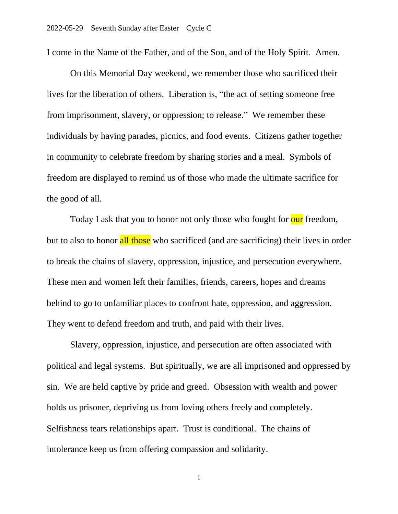I come in the Name of the Father, and of the Son, and of the Holy Spirit. Amen.

On this Memorial Day weekend, we remember those who sacrificed their lives for the liberation of others. Liberation is, "the act of setting someone free from imprisonment, slavery, or oppression; to release." We remember these individuals by having parades, picnics, and food events. Citizens gather together in community to celebrate freedom by sharing stories and a meal. Symbols of freedom are displayed to remind us of those who made the ultimate sacrifice for the good of all.

Today I ask that you to honor not only those who fought for our freedom, but to also to honor all those who sacrificed (and are sacrificing) their lives in order to break the chains of slavery, oppression, injustice, and persecution everywhere. These men and women left their families, friends, careers, hopes and dreams behind to go to unfamiliar places to confront hate, oppression, and aggression. They went to defend freedom and truth, and paid with their lives.

Slavery, oppression, injustice, and persecution are often associated with political and legal systems. But spiritually, we are all imprisoned and oppressed by sin. We are held captive by pride and greed. Obsession with wealth and power holds us prisoner, depriving us from loving others freely and completely. Selfishness tears relationships apart. Trust is conditional. The chains of intolerance keep us from offering compassion and solidarity.

1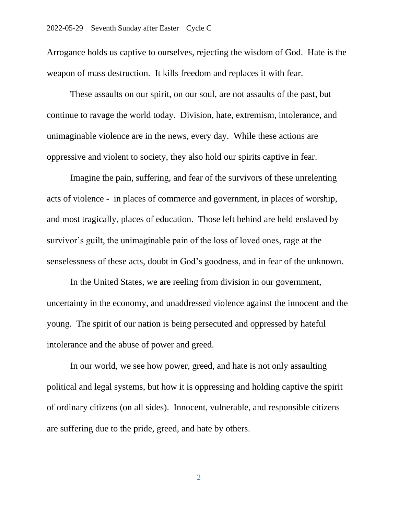Arrogance holds us captive to ourselves, rejecting the wisdom of God. Hate is the weapon of mass destruction. It kills freedom and replaces it with fear.

These assaults on our spirit, on our soul, are not assaults of the past, but continue to ravage the world today. Division, hate, extremism, intolerance, and unimaginable violence are in the news, every day. While these actions are oppressive and violent to society, they also hold our spirits captive in fear.

Imagine the pain, suffering, and fear of the survivors of these unrelenting acts of violence - in places of commerce and government, in places of worship, and most tragically, places of education. Those left behind are held enslaved by survivor's guilt, the unimaginable pain of the loss of loved ones, rage at the senselessness of these acts, doubt in God's goodness, and in fear of the unknown.

In the United States, we are reeling from division in our government, uncertainty in the economy, and unaddressed violence against the innocent and the young. The spirit of our nation is being persecuted and oppressed by hateful intolerance and the abuse of power and greed.

In our world, we see how power, greed, and hate is not only assaulting political and legal systems, but how it is oppressing and holding captive the spirit of ordinary citizens (on all sides). Innocent, vulnerable, and responsible citizens are suffering due to the pride, greed, and hate by others.

2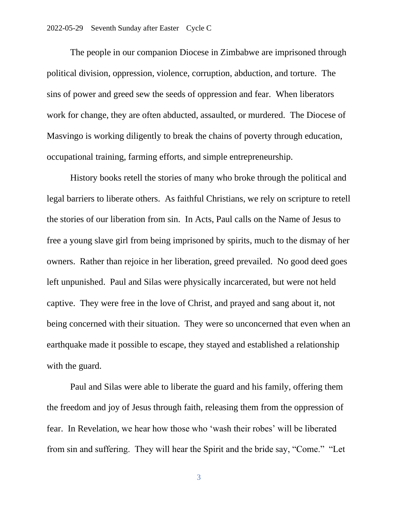The people in our companion Diocese in Zimbabwe are imprisoned through political division, oppression, violence, corruption, abduction, and torture. The sins of power and greed sew the seeds of oppression and fear. When liberators work for change, they are often abducted, assaulted, or murdered. The Diocese of Masvingo is working diligently to break the chains of poverty through education, occupational training, farming efforts, and simple entrepreneurship.

History books retell the stories of many who broke through the political and legal barriers to liberate others. As faithful Christians, we rely on scripture to retell the stories of our liberation from sin. In Acts, Paul calls on the Name of Jesus to free a young slave girl from being imprisoned by spirits, much to the dismay of her owners. Rather than rejoice in her liberation, greed prevailed. No good deed goes left unpunished. Paul and Silas were physically incarcerated, but were not held captive. They were free in the love of Christ, and prayed and sang about it, not being concerned with their situation. They were so unconcerned that even when an earthquake made it possible to escape, they stayed and established a relationship with the guard.

Paul and Silas were able to liberate the guard and his family, offering them the freedom and joy of Jesus through faith, releasing them from the oppression of fear. In Revelation, we hear how those who 'wash their robes' will be liberated from sin and suffering. They will hear the Spirit and the bride say, "Come." "Let

3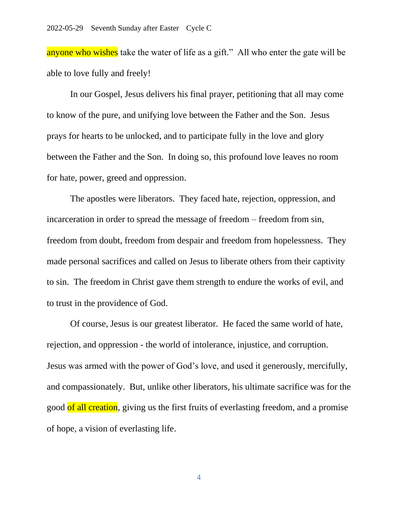anyone who wishes take the water of life as a gift." All who enter the gate will be able to love fully and freely!

In our Gospel, Jesus delivers his final prayer, petitioning that all may come to know of the pure, and unifying love between the Father and the Son. Jesus prays for hearts to be unlocked, and to participate fully in the love and glory between the Father and the Son. In doing so, this profound love leaves no room for hate, power, greed and oppression.

The apostles were liberators. They faced hate, rejection, oppression, and incarceration in order to spread the message of freedom – freedom from sin, freedom from doubt, freedom from despair and freedom from hopelessness. They made personal sacrifices and called on Jesus to liberate others from their captivity to sin. The freedom in Christ gave them strength to endure the works of evil, and to trust in the providence of God.

Of course, Jesus is our greatest liberator. He faced the same world of hate, rejection, and oppression - the world of intolerance, injustice, and corruption. Jesus was armed with the power of God's love, and used it generously, mercifully, and compassionately. But, unlike other liberators, his ultimate sacrifice was for the good of all creation, giving us the first fruits of everlasting freedom, and a promise of hope, a vision of everlasting life.